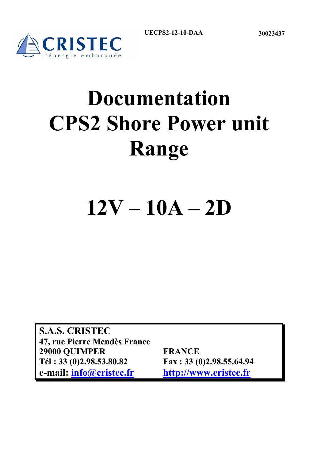



# **Documentation CPS2 Shore Power unit Range**

## **12V – 10A – 2D**

**S.A.S. CRISTEC 47, rue Pierre Mendès France 29000 QUIMPER FRANCE Tél : 33 (0)2.98.53.80.82 Fax : 33 (0)2.98.55.64.94 e-mail: info@cristec.fr http://www.cristec.fr**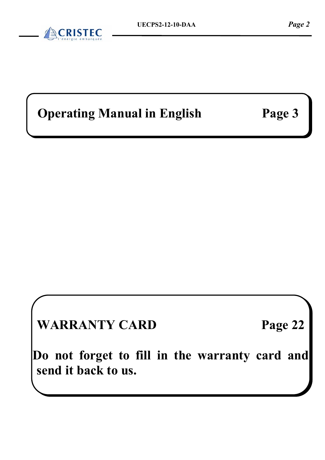## **Operating Manual in English Page 3**

**WARRANTY CARD Page 22** 

**Do not forget to fill in the warranty card and send it back to us.**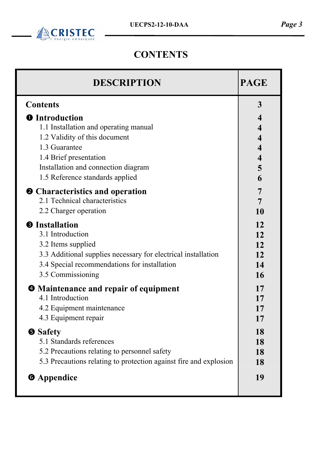

## **CONTENTS**

| <b>DESCRIPTION</b>                                                | <b>PAGE</b>             |
|-------------------------------------------------------------------|-------------------------|
| <b>Contents</b>                                                   | 3                       |
| <b>O</b> Introduction                                             | $\overline{\mathbf{4}}$ |
| 1.1 Installation and operating manual                             | $\overline{\mathbf{4}}$ |
| 1.2 Validity of this document                                     | $\overline{\mathbf{4}}$ |
| 1.3 Guarantee                                                     | $\overline{\mathbf{4}}$ |
| 1.4 Brief presentation                                            | $\overline{\mathbf{4}}$ |
| Installation and connection diagram                               | 5                       |
| 1.5 Reference standards applied                                   | 6                       |
| <b>2</b> Characteristics and operation                            | $\overline{7}$          |
| 2.1 Technical characteristics                                     | 7                       |
| 2.2 Charger operation                                             | 10                      |
| <b>S</b> Installation                                             | 12                      |
| 3.1 Introduction                                                  | 12                      |
| 3.2 Items supplied                                                | 12                      |
| 3.3 Additional supplies necessary for electrical installation     | 12                      |
| 3.4 Special recommendations for installation                      | 14                      |
| 3.5 Commissioning                                                 | <b>16</b>               |
| <b><math>\bullet</math></b> Maintenance and repair of equipment   | 17                      |
| 4.1 Introduction                                                  | 17                      |
| 4.2 Equipment maintenance                                         | 17                      |
| 4.3 Equipment repair                                              | 17                      |
| <b>Safety</b>                                                     | 18                      |
| 5.1 Standards references                                          | 18                      |
| 5.2 Precautions relating to personnel safety                      | 18                      |
| 5.3 Precautions relating to protection against fire and explosion | 18                      |
| <b>6</b> Appendice                                                | 19                      |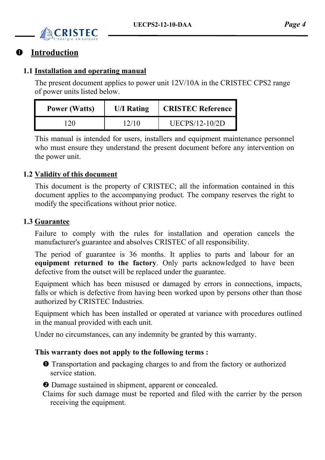

### $\bullet$  Introduction

### **1.1 Installation and operating manual**

The present document applies to power unit 12V/10A in the CRISTEC CPS2 range of power units listed below.

| <b>Power (Watts)</b> | <b>U/I Rating</b> | <b>CRISTEC Reference</b> |
|----------------------|-------------------|--------------------------|
| 12O                  | 12/10             | UECPS/12-10/2D           |

This manual is intended for users, installers and equipment maintenance personnel who must ensure they understand the present document before any intervention on the power unit.

### **1.2 Validity of this document**

This document is the property of CRISTEC; all the information contained in this document applies to the accompanying product. The company reserves the right to modify the specifications without prior notice.

### **1.3 Guarantee**

Failure to comply with the rules for installation and operation cancels the manufacturer's guarantee and absolves CRISTEC of all responsibility.

The period of guarantee is 36 months. It applies to parts and labour for an **equipment returned to the factory**. Only parts acknowledged to have been defective from the outset will be replaced under the guarantee.

Equipment which has been misused or damaged by errors in connections, impacts, falls or which is defective from having been worked upon by persons other than those authorized by CRISTEC Industries.

Equipment which has been installed or operated at variance with procedures outlined in the manual provided with each unit.

Under no circumstances, can any indemnity be granted by this warranty.

### **This warranty does not apply to the following terms :**

- $\bullet$  Transportation and packaging charges to and from the factory or authorized service station.
- o Damage sustained in shipment, apparent or concealed.
- Claims for such damage must be reported and filed with the carrier by the person receiving the equipment.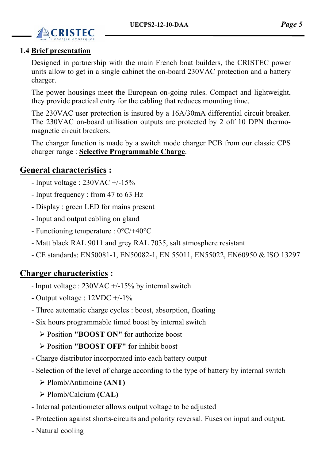

### **1.4 Brief presentation**

Designed in partnership with the main French boat builders, the CRISTEC power units allow to get in a single cabinet the on-board 230VAC protection and a battery charger.

The power housings meet the European on-going rules. Compact and lightweight, they provide practical entry for the cabling that reduces mounting time.

The 230VAC user protection is insured by a 16A/30mA differential circuit breaker. The 230VAC on-board utilisation outputs are protected by 2 off 10 DPN thermomagnetic circuit breakers.

The charger function is made by a switch mode charger PCB from our classic CPS charger range : **Selective Programmable Charge**.

### **General characteristics :**

- Input voltage :  $230\text{VAC} +15\%$
- Input frequency : from 47 to 63 Hz
- Display : green LED for mains present
- Input and output cabling on gland
- Functioning temperature : 0°C/+40°C
- Matt black RAL 9011 and grey RAL 7035, salt atmosphere resistant
- CE standards: EN50081-1, EN50082-1, EN 55011, EN55022, EN60950 & ISO 13297

### **Charger characteristics :**

- Input voltage :  $230\text{VAC} +15\%$  by internal switch
- Output voltage : 12VDC +/-1%
- Three automatic charge cycles : boost, absorption, floating
- Six hours programmable timed boost by internal switch
	- ¾ Position **"BOOST ON"** for authorize boost
	- ¾ Position **"BOOST OFF"** for inhibit boost
- Charge distributor incorporated into each battery output
- Selection of the level of charge according to the type of battery by internal switch
	- ¾ Plomb/Antimoine **(ANT)**
	- ¾ Plomb/Calcium **(CAL)**
- Internal potentiometer allows output voltage to be adjusted
- Protection against shorts-circuits and polarity reversal. Fuses on input and output.
- Natural cooling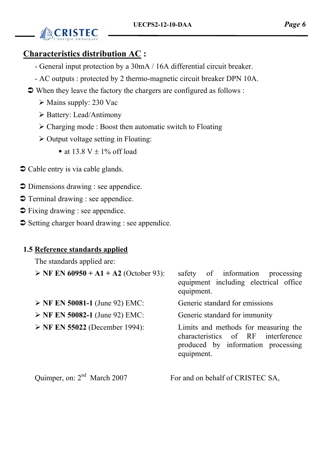

### **Characteristics distribution AC :**

- General input protection by a 30mA / 16A differential circuit breaker.
- AC outputs : protected by 2 thermo-magnetic circuit breaker DPN 10A.
- $\triangleright$  When they leave the factory the chargers are configured as follows :
	- $\triangleright$  Mains supply: 230 Vac
	- ¾ Battery: Lead/Antimony
	- $\triangleright$  Charging mode : Boost then automatic switch to Floating
	- $\triangleright$  Output voltage setting in Floating:
		- at 13.8 V  $\pm$  1% off load
- $\bullet$  Cable entry is via cable glands.
- $\supset$  Dimensions drawing : see appendice.
- $\supset$  Terminal drawing : see appendice.
- $\supset$  Fixing drawing : see appendice.
- $\supset$  Setting charger board drawing : see appendice.

### **1.5 Reference standards applied**

The standards applied are:

| $\triangleright$ NF EN 60950 + A1 + A2 (October 93): | safety of information processing<br>equipment including electrical office<br>equipment.                                           |
|------------------------------------------------------|-----------------------------------------------------------------------------------------------------------------------------------|
| $\triangleright$ NF EN 50081-1 (June 92) EMC:        | Generic standard for emissions                                                                                                    |
| $\triangleright$ NF EN 50082-1 (June 92) EMC:        | Generic standard for immunity                                                                                                     |
| $\triangleright$ NF EN 55022 (December 1994):        | Limits and methods for measuring the<br>characteristics of RF<br>interference<br>produced by information processing<br>equipment. |
| Quimper, on: 2 <sup>nd</sup> March 2007              | For and on behalf of CRISTEC SA,                                                                                                  |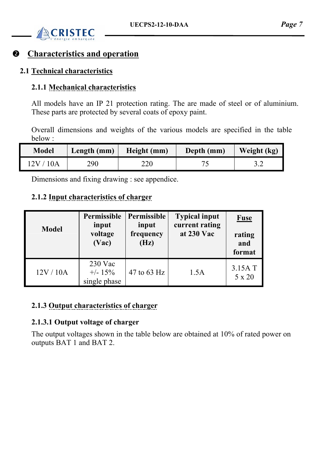

### **Characteristics and operation**

### **2.1 Technical characteristics**

### **2.1.1 Mechanical characteristics**

All models have an IP 21 protection rating. The are made of steel or of aluminium. These parts are protected by several coats of epoxy paint.

Overall dimensions and weights of the various models are specified in the table below :

| Model    | Length (mm) | Height (mm) | Depth (mm) | Weight (kg) |
|----------|-------------|-------------|------------|-------------|
| 2V / 10A | 290         | 220         |            |             |

Dimensions and fixing drawing : see appendice.

### **2.1.2 Input characteristics of charger**

| <b>Model</b> | Permissible<br>input<br>voltage<br>(Vac) | Permissible<br>input<br>frequency<br>(Hz) | <b>Typical input</b><br>current rating<br>at 230 Vac | <b>Fuse</b><br>rating<br>and<br>format |
|--------------|------------------------------------------|-------------------------------------------|------------------------------------------------------|----------------------------------------|
| 12V/10A      | $230$ Vac<br>$+/- 15\%$<br>single phase  | 47 to 63 Hz                               | 1.5A                                                 | 3.15A T<br>5 x 20                      |

### **2.1.3 Output characteristics of charger**

### **2.1.3.1 Output voltage of charger**

The output voltages shown in the table below are obtained at 10% of rated power on outputs BAT 1 and BAT 2.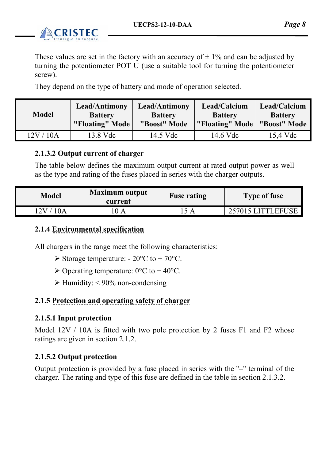

These values are set in the factory with an accuracy of  $\pm$  1% and can be adjusted by turning the potentiometer POT U (use a suitable tool for turning the potentiometer screw).

They depend on the type of battery and mode of operation selected.

| <b>Model</b> | Lead/Antimony   | Lead/Antimony  | Lead/Calcium    | Lead/Calcium   |
|--------------|-----------------|----------------|-----------------|----------------|
|              | <b>Battery</b>  | <b>Battery</b> | <b>Battery</b>  | <b>Battery</b> |
|              | "Floating" Mode | "Boost" Mode   | "Floating" Mode | "Boost" Mode   |
| 12V / 10A    | 13.8 Vdc        | 14.5 Vdc       | 14.6 Vdc        | 15.4 Vdc       |

### **2.1.3.2 Output current of charger**

The table below defines the maximum output current at rated output power as well as the type and rating of the fuses placed in series with the charger outputs.

| <b>Model</b> | $\blacksquare$ Maximum output<br>current | <b>Fuse rating</b> | <b>Type of fuse</b> |
|--------------|------------------------------------------|--------------------|---------------------|
| 2V           |                                          |                    | 257015 LITTLEFUSE   |

### **2.1.4 Environmental specification**

All chargers in the range meet the following characteristics:

- $\triangleright$  Storage temperature: 20 $\degree$ C to + 70 $\degree$ C.
- $\geq$  Operating temperature: 0°C to +40°C.
- $\blacktriangleright$  Humidity: < 90% non-condensing

### **2.1.5 Protection and operating safety of charger**

### **2.1.5.1 Input protection**

Model 12V / 10A is fitted with two pole protection by 2 fuses F1 and F2 whose ratings are given in section 2.1.2.

### **2.1.5.2 Output protection**

Output protection is provided by a fuse placed in series with the "–" terminal of the charger. The rating and type of this fuse are defined in the table in section 2.1.3.2.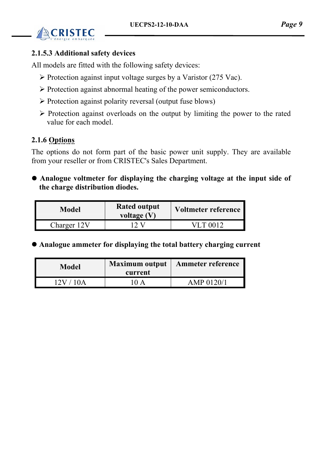

### **2.1.5.3 Additional safety devices**

All models are fitted with the following safety devices:

- $\triangleright$  Protection against input voltage surges by a Varistor (275 Vac).
- ¾ Protection against abnormal heating of the power semiconductors.
- $\triangleright$  Protection against polarity reversal (output fuse blows)
- $\triangleright$  Protection against overloads on the output by limiting the power to the rated value for each model.

### **2.1.6 Options**

The options do not form part of the basic power unit supply. They are available from your reseller or from CRISTEC's Sales Department.

**• Analogue voltmeter for displaying the charging voltage at the input side of the charge distribution diodes.** 

| Model       | <b>Rated output</b><br>voltage $(V)$ | Voltmeter reference |
|-------------|--------------------------------------|---------------------|
| Charger 12V |                                      | VLT 0012            |

z **Analogue ammeter for displaying the total battery charging current** 

| Model                 | <b>Maximum output</b><br>current     | <b>Ammeter reference</b> |
|-----------------------|--------------------------------------|--------------------------|
| 12V<br>$\overline{A}$ | $\mathbf{I}(\mathbf{I})$<br>$\Delta$ | AMP 0120/1               |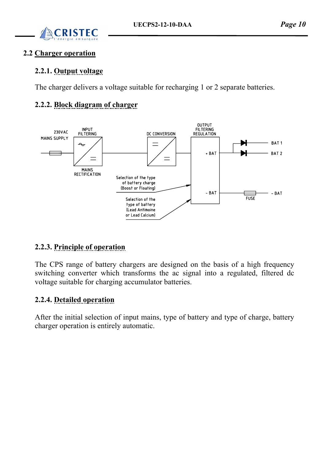

### **2.2 Charger operation**

### **2.2.1. Output voltage**

The charger delivers a voltage suitable for recharging 1 or 2 separate batteries.

### **2.2.2. Block diagram of charger**



### **2.2.3. Principle of operation**

The CPS range of battery chargers are designed on the basis of a high frequency switching converter which transforms the ac signal into a regulated, filtered dc voltage suitable for charging accumulator batteries.

### **2.2.4. Detailed operation**

After the initial selection of input mains, type of battery and type of charge, battery charger operation is entirely automatic.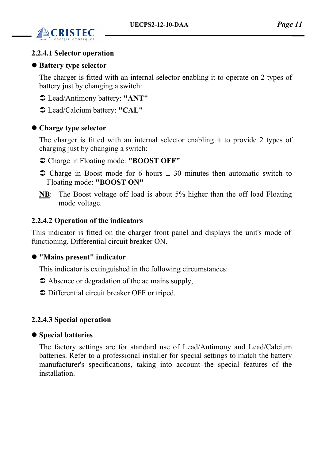

### **2.2.4.1 Selector operation**

### $\bullet$  **Battery type selector**

The charger is fitted with an internal selector enabling it to operate on 2 types of battery just by changing a switch:

- Â Lead/Antimony battery: **"ANT"**
- Â Lead/Calcium battery: **"CAL"**

### $\bullet$  Charge type selector

The charger is fitted with an internal selector enabling it to provide 2 types of charging just by changing a switch:

- Â Charge in Floating mode: **"BOOST OFF"**
- $\supset$  Charge in Boost mode for 6 hours  $\pm$  30 minutes then automatic switch to Floating mode: **"BOOST ON"**
- **NB**: The Boost voltage off load is about 5% higher than the off load Floating mode voltage.

### **2.2.4.2 Operation of the indicators**

This indicator is fitted on the charger front panel and displays the unit's mode of functioning. Differential circuit breaker ON.

### z **"Mains present" indicator**

This indicator is extinguished in the following circumstances:

- $\triangleright$  Absence or degradation of the ac mains supply,
- $\supset$  Differential circuit breaker OFF or triped.

### **2.2.4.3 Special operation**

### $\bullet$  **Special batteries**

The factory settings are for standard use of Lead/Antimony and Lead/Calcium batteries. Refer to a professional installer for special settings to match the battery manufacturer's specifications, taking into account the special features of the installation.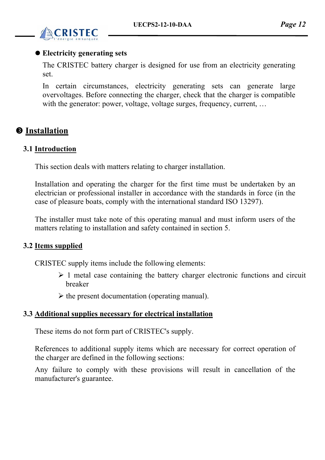

### $\bullet$  **Electricity generating sets**

The CRISTEC battery charger is designed for use from an electricity generating set.

In certain circumstances, electricity generating sets can generate large overvoltages. Before connecting the charger, check that the charger is compatible with the generator: power, voltage, voltage surges, frequency, current, ...

### $\Theta$  Installation

### **3.1 Introduction**

This section deals with matters relating to charger installation.

Installation and operating the charger for the first time must be undertaken by an electrician or professional installer in accordance with the standards in force (in the case of pleasure boats, comply with the international standard ISO 13297).

The installer must take note of this operating manual and must inform users of the matters relating to installation and safety contained in section 5.

### **3.2 Items supplied**

CRISTEC supply items include the following elements:

- $\geq 1$  metal case containing the battery charger electronic functions and circuit breaker
- $\triangleright$  the present documentation (operating manual).

### **3.3 Additional supplies necessary for electrical installation**

These items do not form part of CRISTEC's supply.

References to additional supply items which are necessary for correct operation of the charger are defined in the following sections:

Any failure to comply with these provisions will result in cancellation of the manufacturer's guarantee.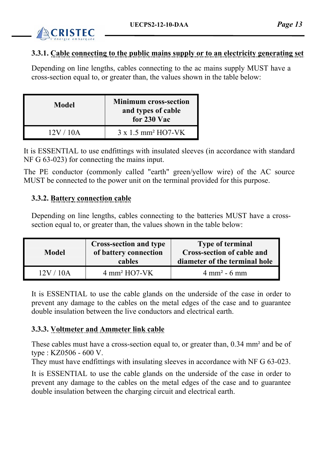

### **3.3.1. Cable connecting to the public mains supply or to an electricity generating set**

Depending on line lengths, cables connecting to the ac mains supply MUST have a cross-section equal to, or greater than, the values shown in the table below:

| <b>Model</b> | <b>Minimum cross-section</b><br>and types of cable<br>for 230 Vac |
|--------------|-------------------------------------------------------------------|
| 12V/10A      | $3 \times 1.5$ mm <sup>2</sup> HO7-VK                             |

It is ESSENTIAL to use endfittings with insulated sleeves (in accordance with standard NF G 63-023) for connecting the mains input.

The PE conductor (commonly called "earth" green/yellow wire) of the AC source MUST be connected to the power unit on the terminal provided for this purpose.

### **3.3.2. Battery connection cable**

Depending on line lengths, cables connecting to the batteries MUST have a crosssection equal to, or greater than, the values shown in the table below:

| Model                    | <b>Cross-section and type</b><br>of battery connection<br>cables | <b>Type of terminal</b><br><b>Cross-section of cable and</b><br>diameter of the terminal hole |
|--------------------------|------------------------------------------------------------------|-----------------------------------------------------------------------------------------------|
| $\mathsf{I}(\mathsf{A})$ | $4 \text{ mm}^2$ HO7-VK                                          | $4 \text{ mm}^2 - 6 \text{ mm}$                                                               |

It is ESSENTIAL to use the cable glands on the underside of the case in order to prevent any damage to the cables on the metal edges of the case and to guarantee double insulation between the live conductors and electrical earth.

### **3.3.3. Voltmeter and Ammeter link cable**

These cables must have a cross-section equal to, or greater than, 0.34 mm² and be of type : KZ0506 - 600 V.

They must have endfittings with insulating sleeves in accordance with NF G 63-023.

It is ESSENTIAL to use the cable glands on the underside of the case in order to prevent any damage to the cables on the metal edges of the case and to guarantee double insulation between the charging circuit and electrical earth.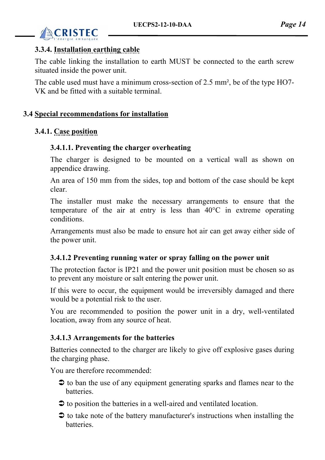

### **3.3.4. Installation earthing cable**

The cable linking the installation to earth MUST be connected to the earth screw situated inside the power unit.

The cable used must have a minimum cross-section of 2.5 mm², be of the type HO7- VK and be fitted with a suitable terminal.

### **3.4 Special recommendations for installation**

### **3.4.1. Case position**

### **3.4.1.1. Preventing the charger overheating**

The charger is designed to be mounted on a vertical wall as shown on appendice drawing.

An area of 150 mm from the sides, top and bottom of the case should be kept clear.

The installer must make the necessary arrangements to ensure that the temperature of the air at entry is less than 40°C in extreme operating conditions.

Arrangements must also be made to ensure hot air can get away either side of the power unit.

### **3.4.1.2 Preventing running water or spray falling on the power unit**

The protection factor is IP21 and the power unit position must be chosen so as to prevent any moisture or salt entering the power unit.

If this were to occur, the equipment would be irreversibly damaged and there would be a potential risk to the user.

You are recommended to position the power unit in a dry, well-ventilated location, away from any source of heat.

### **3.4.1.3 Arrangements for the batteries**

Batteries connected to the charger are likely to give off explosive gases during the charging phase.

You are therefore recommended:

- $\triangleright$  to ban the use of any equipment generating sparks and flames near to the **batteries**
- $\triangleright$  to position the batteries in a well-aired and ventilated location.
- $\triangleright$  to take note of the battery manufacturer's instructions when installing the **batteries**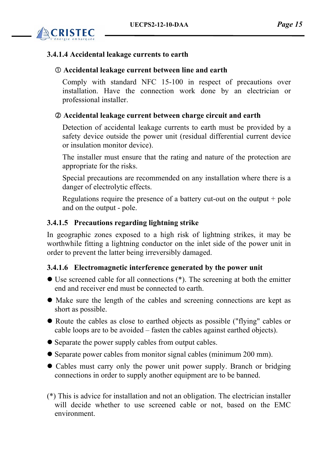

### **3.4.1.4 Accidental leakage currents to earth**

### c **Accidental leakage current between line and earth**

Comply with standard NFC 15-100 in respect of precautions over installation. Have the connection work done by an electrician or professional installer.

### d **Accidental leakage current between charge circuit and earth**

Detection of accidental leakage currents to earth must be provided by a safety device outside the power unit (residual differential current device or insulation monitor device).

The installer must ensure that the rating and nature of the protection are appropriate for the risks.

Special precautions are recommended on any installation where there is a danger of electrolytic effects.

Regulations require the presence of a battery cut-out on the output  $+$  pole and on the output - pole.

### **3.4.1.5 Precautions regarding lightning strike**

In geographic zones exposed to a high risk of lightning strikes, it may be worthwhile fitting a lightning conductor on the inlet side of the power unit in order to prevent the latter being irreversibly damaged.

### **3.4.1.6 Electromagnetic interference generated by the power unit**

- $\bullet$  Use screened cable for all connections (\*). The screening at both the emitter end and receiver end must be connected to earth.
- Make sure the length of the cables and screening connections are kept as short as possible.
- Route the cables as close to earthed objects as possible ("flying" cables or cable loops are to be avoided – fasten the cables against earthed objects).
- Separate the power supply cables from output cables.
- Separate power cables from monitor signal cables (minimum 200 mm).
- Cables must carry only the power unit power supply. Branch or bridging connections in order to supply another equipment are to be banned.
- (\*) This is advice for installation and not an obligation. The electrician installer will decide whether to use screened cable or not, based on the EMC environment.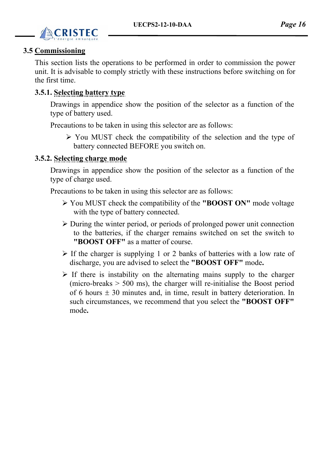

### **3.5 Commissioning**

This section lists the operations to be performed in order to commission the power unit. It is advisable to comply strictly with these instructions before switching on for the first time.

### **3.5.1. Selecting battery type**

Drawings in appendice show the position of the selector as a function of the type of battery used.

Precautions to be taken in using this selector are as follows:

 $\triangleright$  You MUST check the compatibility of the selection and the type of battery connected BEFORE you switch on.

### **3.5.2. Selecting charge mode**

Drawings in appendice show the position of the selector as a function of the type of charge used.

Precautions to be taken in using this selector are as follows:

- ¾ You MUST check the compatibility of the **"BOOST ON"** mode voltage with the type of battery connected.
- $\triangleright$  During the winter period, or periods of prolonged power unit connection to the batteries, if the charger remains switched on set the switch to **"BOOST OFF"** as a matter of course.
- $\triangleright$  If the charger is supplying 1 or 2 banks of batteries with a low rate of discharge, you are advised to select the **"BOOST OFF"** mode**.**
- $\triangleright$  If there is instability on the alternating mains supply to the charger (micro-breaks > 500 ms), the charger will re-initialise the Boost period of 6 hours  $\pm$  30 minutes and, in time, result in battery deterioration. In such circumstances, we recommend that you select the **"BOOST OFF"**  mode**.**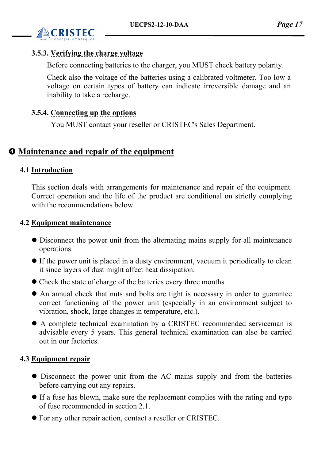

### **3.5.3. Verifying the charge voltage**

Before connecting batteries to the charger, you MUST check battery polarity.

Check also the voltage of the batteries using a calibrated voltmeter. Too low a voltage on certain types of battery can indicate irreversible damage and an inability to take a recharge.

### **3.5.4. Connecting up the options**

You MUST contact your reseller or CRISTEC's Sales Department.

### $\Phi$  Maintenance and repair of the equipment

### **4.1 Introduction**

This section deals with arrangements for maintenance and repair of the equipment. Correct operation and the life of the product are conditional on strictly complying with the recommendations below.

### **4.2 Equipment maintenance**

- Disconnect the power unit from the alternating mains supply for all maintenance operations.
- $\bullet$  If the power unit is placed in a dusty environment, vacuum it periodically to clean it since layers of dust might affect heat dissipation.
- Check the state of charge of the batteries every three months.
- An annual check that nuts and bolts are tight is necessary in order to guarantee correct functioning of the power unit (especially in an environment subject to vibration, shock, large changes in temperature, etc.).
- A complete technical examination by a CRISTEC recommended serviceman is advisable every 5 years. This general technical examination can also be carried out in our factories.

### **4.3 Equipment repair**

- Disconnect the power unit from the AC mains supply and from the batteries before carrying out any repairs.
- If a fuse has blown, make sure the replacement complies with the rating and type of fuse recommended in section 2.1.
- $\bullet$  For any other repair action, contact a reseller or CRISTEC.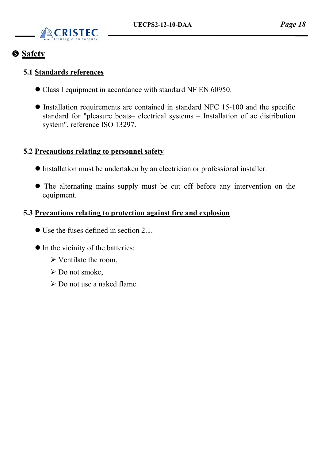

### $S$  Safety

### **5.1 Standards references**

- Class I equipment in accordance with standard NF EN 60950.
- $\bullet$  Installation requirements are contained in standard NFC 15-100 and the specific standard for "pleasure boats– electrical systems – Installation of ac distribution system", reference ISO 13297.

### **5.2 Precautions relating to personnel safety**

- Installation must be undertaken by an electrician or professional installer.
- The alternating mains supply must be cut off before any intervention on the equipment.

### **5.3 Precautions relating to protection against fire and explosion**

- $\bullet$  Use the fuses defined in section 2.1.
- $\bullet$  In the vicinity of the batteries:
	- $\triangleright$  Ventilate the room,
	- $\triangleright$  Do not smoke,
	- $\triangleright$  Do not use a naked flame.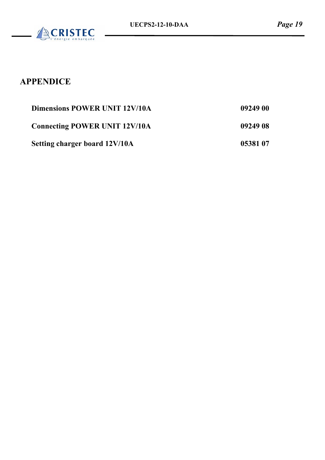

## **APPENDICE**

| <b>Dimensions POWER UNIT 12V/10A</b> | 09249 00 |
|--------------------------------------|----------|
| <b>Connecting POWER UNIT 12V/10A</b> | 09249 08 |
| Setting charger board 12V/10A        | 05381 07 |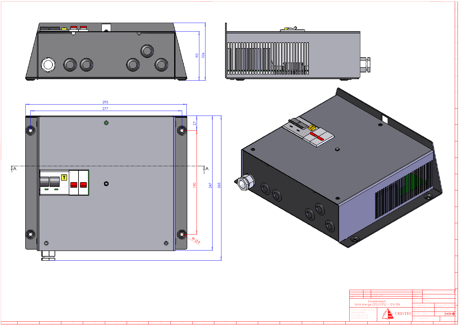

La reproduction de ce document meme par extraits ne peut etre autorisée qu'avec l'accord écrit d'ENAG SA

3





|  |  |  |  |  |  |  | 02/02/0                              | l Design lange                                    |                                                     | tat de surface (NFE 05-016): R |  |
|--|--|--|--|--|--|--|--------------------------------------|---------------------------------------------------|-----------------------------------------------------|--------------------------------|--|
|  |  |  |  |  |  |  | Indice Modification<br>ATA I         |                                                   | Matière : H<br>$-$ <b>I</b> Finition $=$<br>$CD :=$ |                                |  |
|  |  |  |  |  |  |  |                                      | Encombrement<br>Unité énergie CDS2/CPS2 – 12V/10A | Hol. générale : ±                                   |                                |  |
|  |  |  |  |  |  |  | 47, Av. P. Mendès France             |                                                   | Dessiné : JLb                                       | $\pm 02/02/07$                 |  |
|  |  |  |  |  |  |  | 29000 QUIMPER<br>Tél. 02.98 55 51 99 | $\mathbb{C}\text{RISTEC}$                         | <b>FPe</b>                                          | $\theta \mapsto$               |  |
|  |  |  |  |  |  |  | Fax 02.98 55 51 67                   |                                                   | N° 09249 00 B                                       |                                |  |
|  |  |  |  |  |  |  |                                      |                                                   |                                                     |                                |  |



U S R Q P O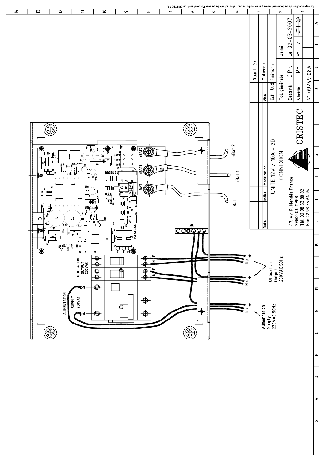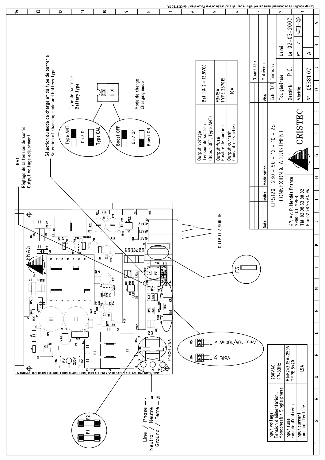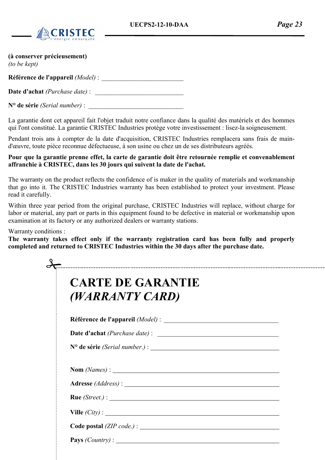

#### **(à conserver précieusement)**

*(to be kept)* 

**Référence de l'appareil** *(Model)* : \_\_\_\_\_\_\_\_\_\_\_\_\_\_\_\_\_\_\_\_\_\_\_\_\_

Date d'achat *(Purchase date)* :

N<sup>o</sup> de série *(Serial number)* :

La garantie dont cet appareil fait l'objet traduit notre confiance dans la qualité des matériels et des hommes qui l'ont constitué. La garantie CRISTEC Industries protège votre investissement : lisez-la soigneusement.

Pendant trois ans à compter de la date d'acquisition, CRISTEC Industries remplacera sans frais de maind'œuvre, toute pièce reconnue défectueuse, à son usine ou chez un de ses distributeurs agréés.

#### **Pour que la garantie prenne effet, la carte de garantie doit être retournée remplie et convenablement affranchie à CRISTEC, dans les 30 jours qui suivent la date de l'achat.**

The warranty on the product reflects the confidence of is maker in the quality of materials and workmanship that go into it. The CRISTEC Industries warranty has been established to protect your investment. Please read it carefully.

Within three year period from the original purchase, CRISTEC Industries will replace, without charge for labor or material, any part or parts in this equipment found to be defective in material or workmanship upon examination at its factory or any authorized dealers or warranty stations.

#### Warranty conditions :

**The warranty takes effect only if the warranty registration card has been fully and properly completed and returned to CRISTEC Industries within the 30 days after the purchase date.** 

| $\mathbf{Nom}(\mathit{Names})$ : |                  |
|----------------------------------|------------------|
|                                  |                  |
|                                  |                  |
|                                  | Ville $(City)$ : |